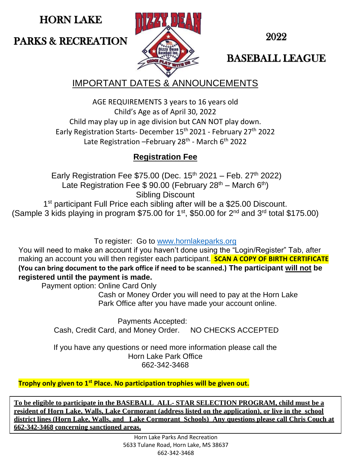HORN LAKE

PARKS & RECREATION



2022

BASEBALL LEAGUE

IMPORTANT DATES & ANNOUNCEMENTS

AGE REQUIREMENTS 3 years to 16 years old Child's Age as of April 30, 2022 Child may play up in age division but CAN NOT play down. Early Registration Starts- December 15th 2021 - February 27th 2022 Late Registration – February 28<sup>th</sup> - March 6<sup>th</sup> 2022

## **Registration Fee**

Early Registration Fee \$75.00 (Dec.  $15<sup>th</sup>$  2021 – Feb.  $27<sup>th</sup>$  2022) Late Registration Fee \$ 90.00 (February  $28<sup>th</sup>$  – March  $6<sup>th</sup>$ ) Sibling Discount 1<sup>st</sup> participant Full Price each sibling after will be a \$25.00 Discount.

(Sample 3 kids playing in program \$75.00 for 1<sup>st</sup>, \$50.00 for 2<sup>nd</sup> and 3<sup>rd</sup> total \$175.00)

To register: Go to [www.hornlakeparks.org](http://www.hornlakeparks.org/)

You will need to make an account if you haven't done using the "Login/Register" Tab, after making an account you will then register each participant. **SCAN A COPY OF BIRTH CERTIFICATE (You can bring document to the park office if need to be scanned.) The participant will not be registered until the payment is made.**

Payment option: Online Card Only

 Cash or Money Order you will need to pay at the Horn Lake Park Office after you have made your account online.

Payments Accepted: Cash, Credit Card, and Money Order. NO CHECKS ACCEPTED

If you have any questions or need more information please call the Horn Lake Park Office 662-342-3468

**Trophy only given to 1st Place. No participation trophies will be given out.**

**To be eligible to participate in the BASEBALL ALL- STAR SELECTION PROGRAM, child must be a resident of Horn Lake, Walls, Lake Cormorant (address listed on the application), or live in the school district lines (Horn Lake, Walls, and Lake Cormorant Schools) Any questions please call Chris Couch at 662-342-3468 concerning sanctioned areas.**